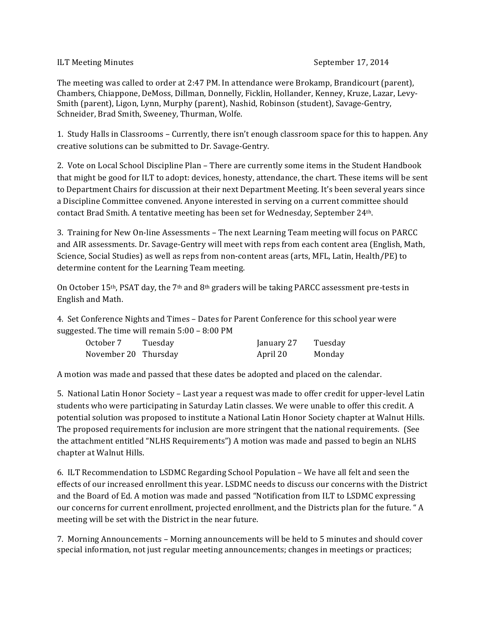## ILT Meeting Minutes **September 17, 2014**

The meeting was called to order at 2:47 PM. In attendance were Brokamp, Brandicourt (parent), Chambers, Chiappone, DeMoss, Dillman, Donnelly, Ficklin, Hollander, Kenney, Kruze, Lazar, Levy-Smith (parent), Ligon, Lynn, Murphy (parent), Nashid, Robinson (student), Savage-Gentry, Schneider, Brad Smith, Sweeney, Thurman, Wolfe.

1. Study Halls in Classrooms – Currently, there isn't enough classroom space for this to happen. Any creative solutions can be submitted to Dr. Savage-Gentry.

2. Vote on Local School Discipline Plan – There are currently some items in the Student Handbook that might be good for ILT to adopt: devices, honesty, attendance, the chart. These items will be sent to Department Chairs for discussion at their next Department Meeting. It's been several years since a Discipline Committee convened. Anyone interested in serving on a current committee should contact Brad Smith. A tentative meeting has been set for Wednesday, September 24th.

3. Training for New On-line Assessments – The next Learning Team meeting will focus on PARCC and AIR assessments. Dr. Savage-Gentry will meet with reps from each content area (English, Math, Science, Social Studies) as well as reps from non-content areas (arts, MFL, Latin, Health/PE) to determine content for the Learning Team meeting.

On October 15<sup>th</sup>, PSAT day, the 7<sup>th</sup> and 8<sup>th</sup> graders will be taking PARCC assessment pre-tests in English and Math.

4. Set Conference Nights and Times – Dates for Parent Conference for this school year were suggested. The time will remain  $5:00 - 8:00 \text{ PM}$ 

| October 7            | Tuesday | January 27 | Tuesday |
|----------------------|---------|------------|---------|
| November 20 Thursday |         | April 20   | Monday  |

A motion was made and passed that these dates be adopted and placed on the calendar.

5. National Latin Honor Society – Last year a request was made to offer credit for upper-level Latin students who were participating in Saturday Latin classes. We were unable to offer this credit. A potential solution was proposed to institute a National Latin Honor Society chapter at Walnut Hills. The proposed requirements for inclusion are more stringent that the national requirements. (See the attachment entitled "NLHS Requirements") A motion was made and passed to begin an NLHS chapter at Walnut Hills.

6. ILT Recommendation to LSDMC Regarding School Population – We have all felt and seen the effects of our increased enrollment this year. LSDMC needs to discuss our concerns with the District and the Board of Ed. A motion was made and passed "Notification from ILT to LSDMC expressing our concerns for current enrollment, projected enrollment, and the Districts plan for the future. "A meeting will be set with the District in the near future.

7. Morning Announcements – Morning announcements will be held to 5 minutes and should cover special information, not just regular meeting announcements; changes in meetings or practices;